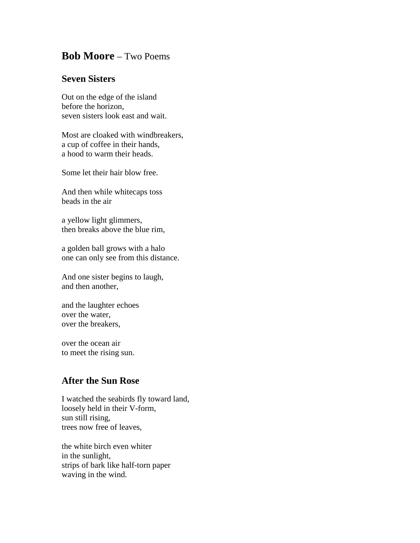## **Bob Moore** – Two Poems

## **Seven Sisters**

Out on the edge of the island before the horizon, seven sisters look east and wait.

Most are cloaked with windbreakers, a cup of coffee in their hands, a hood to warm their heads.

Some let their hair blow free.

And then while whitecaps toss beads in the air

a yellow light glimmers, then breaks above the blue rim,

a golden ball grows with a halo one can only see from this distance.

And one sister begins to laugh, and then another,

and the laughter echoes over the water, over the breakers,

over the ocean air to meet the rising sun.

## **After the Sun Rose**

I watched the seabirds fly toward land, loosely held in their V-form, sun still rising, trees now free of leaves,

the white birch even whiter in the sunlight, strips of bark like half-torn paper waving in the wind.